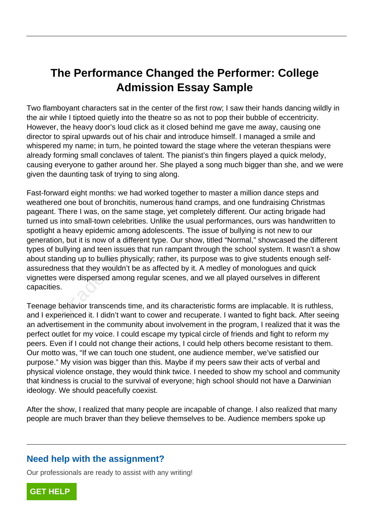## **The Performance Changed the Performer: College Admission Essay Sample**

Two flamboyant characters sat in the center of the first row; I saw their hands dancing wildly in the air while I tiptoed quietly into the theatre so as not to pop their bubble of eccentricity. However, the heavy door's loud click as it closed behind me gave me away, causing one director to spiral upwards out of his chair and introduce himself. I managed a smile and whispered my name; in turn, he pointed toward the stage where the veteran thespians were already forming small conclaves of talent. The pianist's thin fingers played a quick melody, causing everyone to gather around her. She played a song much bigger than she, and we were given the daunting task of trying to sing along.

Fast-forward eight months: we had worked together to master a million dance steps and weathered one bout of bronchitis, numerous hand cramps, and one fundraising Christmas pageant. There I was, on the same stage, yet completely different. Our acting brigade had turned us into small-town celebrities. Unlike the usual performances, ours was handwritten to spotlight a heavy epidemic among adolescents. The issue of bullying is not new to our generation, but it is now of a different type. Our show, titled "Normal," showcased the different types of bullying and teen issues that run rampant through the school system. It wasn't a show about standing up to bullies physically; rather, its purpose was to give students enough selfassuredness that they wouldn't be as affected by it. A medley of monologues and quick vignettes were dispersed among regular scenes, and we all played ourselves in different capacities. I'm eight months. We had worked toget<br>
I one bout of bronchitis, numerous hand<br>
There I was, on the same stage, yet corn to small-town celebrities. Unlike the u<br>
heavy epidemic among adolescents. The heavy epidemic among a

Teenage behavior transcends time, and its characteristic forms are implacable. It is ruthless, and I experienced it. I didn't want to cower and recuperate. I wanted to fight back. After seeing an advertisement in the community about involvement in the program, I realized that it was the perfect outlet for my voice. I could escape my typical circle of friends and fight to reform my peers. Even if I could not change their actions, I could help others become resistant to them. Our motto was, "If we can touch one student, one audience member, we've satisfied our purpose." My vision was bigger than this. Maybe if my peers saw their acts of verbal and physical violence onstage, they would think twice. I needed to show my school and community that kindness is crucial to the survival of everyone; high school should not have a Darwinian ideology. We should peacefully coexist.

After the show, I realized that many people are incapable of change. I also realized that many people are much braver than they believe themselves to be. Audience members spoke up

## **Need help with the assignment?**

Our professionals are ready to assist with any writing!